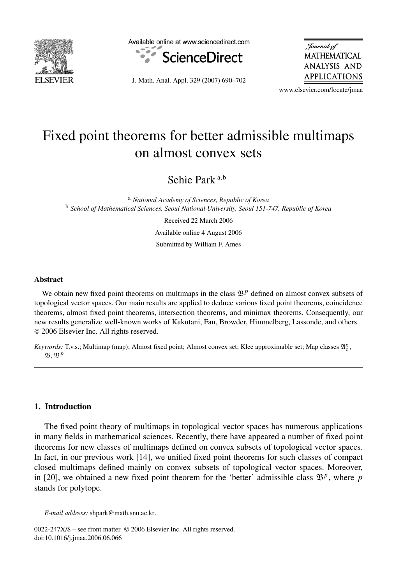

Available online at www.sciencedirect.com



J. Math. Anal. Appl. 329 (2007) 690–702

Journal of **MATHEMATICAL ANALYSIS AND** APPLICATIONS

www.elsevier.com/locate/jmaa

# Fixed point theorems for better admissible multimaps on almost convex sets

Sehie Park <sup>a</sup>*,*<sup>b</sup>

<sup>a</sup> *National Academy of Sciences, Republic of Korea* <sup>b</sup> *School of Mathematical Sciences, Seoul National University, Seoul 151-747, Republic of Korea*

> Received 22 March 2006 Available online 4 August 2006

> Submitted by William F. Ames

#### **Abstract**

We obtain new fixed point theorems on multimaps in the class  $\mathcal{B}^p$  defined on almost convex subsets of topological vector spaces. Our main results are applied to deduce various fixed point theorems, coincidence theorems, almost fixed point theorems, intersection theorems, and minimax theorems. Consequently, our new results generalize well-known works of Kakutani, Fan, Browder, Himmelberg, Lassonde, and others. © 2006 Elsevier Inc. All rights reserved.

*Keywords:* T.v.s.; Multimap (map); Almost fixed point; Almost convex set; Klee approximable set; Map classes  $\mathfrak{A}_c^{\kappa}$ , B, B*<sup>p</sup>*

# **1. Introduction**

The fixed point theory of multimaps in topological vector spaces has numerous applications in many fields in mathematical sciences. Recently, there have appeared a number of fixed point theorems for new classes of multimaps defined on convex subsets of topological vector spaces. In fact, in our previous work [14], we unified fixed point theorems for such classes of compact closed multimaps defined mainly on convex subsets of topological vector spaces. Moreover, in [20], we obtained a new fixed point theorem for the 'better' admissible class  $\mathfrak{B}^p$ , where *p* stands for polytope.

*E-mail address:* shpark@math.snu.ac.kr.

<sup>0022-247</sup>X/\$ – see front matter © 2006 Elsevier Inc. All rights reserved. doi:10.1016/j.jmaa.2006.06.066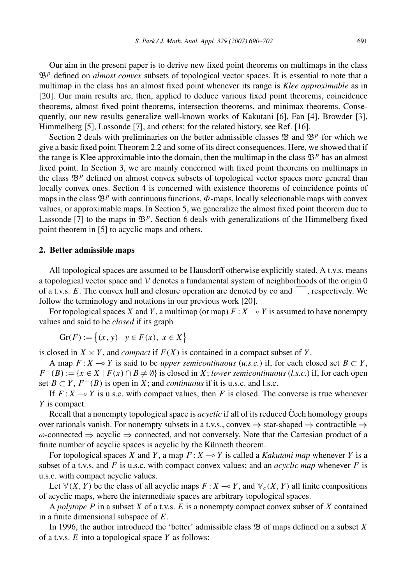Our aim in the present paper is to derive new fixed point theorems on multimaps in the class  $\mathfrak{B}^p$  defined on *almost convex* subsets of topological vector spaces. It is essential to note that a multimap in the class has an almost fixed point whenever its range is *Klee approximable* as in [20]. Our main results are, then, applied to deduce various fixed point theorems, coincidence theorems, almost fixed point theorems, intersection theorems, and minimax theorems. Consequently, our new results generalize well-known works of Kakutani [6], Fan [4], Browder [3], Himmelberg [5], Lassonde [7], and others; for the related history, see Ref. [16].

Section 2 deals with preliminaries on the better admissible classes  $\mathfrak{B}$  and  $\mathfrak{B}^p$  for which we give a basic fixed point Theorem 2.2 and some of its direct consequences. Here, we showed that if the range is Klee approximable into the domain, then the multimap in the class  $\mathfrak{B}^p$  has an almost fixed point. In Section 3, we are mainly concerned with fixed point theorems on multimaps in the class  $\mathfrak{B}^p$  defined on almost convex subsets of topological vector spaces more general than locally convex ones. Section 4 is concerned with existence theorems of coincidence points of maps in the class  $\mathfrak{B}^p$  with continuous functions,  $\Phi$ -maps, locally selectionable maps with convex values, or approximable maps. In Section 5, we generalize the almost fixed point theorem due to Lassonde [7] to the maps in  $\mathfrak{B}^p$ . Section 6 deals with generalizations of the Himmelberg fixed point theorem in [5] to acyclic maps and others.

### **2. Better admissible maps**

All topological spaces are assumed to be Hausdorff otherwise explicitly stated. A t.v.s. means a topological vector space and  $V$  denotes a fundamental system of neighborhoods of the origin  $0$ of a t.v.s.  $E$ . The convex hull and closure operation are denoted by co and  $\overline{\phantom{a}}$ , respectively. We follow the terminology and notations in our previous work [20].

For topological spaces *X* and *Y*, a multimap (or map)  $F: X \to Y$  is assumed to have nonempty values and said to be *closed* if its graph

$$
Gr(F) := \{(x, y) \mid y \in F(x), \ x \in X\}
$$

is closed in  $X \times Y$ , and *compact* if  $F(X)$  is contained in a compact subset of Y.

A map  $F: X \to Y$  is said to be *upper semicontinuous* (*u.s.c.*) if, for each closed set  $B \subset Y$ ,  $F^-(B) := \{x \in X \mid F(x) \cap B \neq \emptyset\}$  is closed in *X*; *lower semicontinuous* (*l.s.c.*) if, for each open set *B* ⊂ *Y*,  $F^{-}(B)$  is open in *X*; and *continuous* if it is u.s.c. and l.s.c.

If  $F: X \to Y$  is u.s.c. with compact values, then F is closed. The converse is true whenever *Y* is compact.

Recall that a nonempty topological space is *acyclic* if all of its reduced Cech homology groups over rationals vanish. For nonempty subsets in a t.v.s., convex  $\Rightarrow$  star-shaped  $\Rightarrow$  contractible  $\Rightarrow$ *ω*-connected ⇒ acyclic ⇒ connected, and not conversely. Note that the Cartesian product of a finite number of acyclic spaces is acyclic by the Künneth theorem.

For topological spaces *X* and *Y*, a map  $F: X \to Y$  is called a *Kakutani map* whenever *Y* is a subset of a t.v.s. and *F* is u.s.c. with compact convex values; and an *acyclic map* whenever *F* is u.s.c. with compact acyclic values.

Let  $V(X, Y)$  be the class of all acyclic maps  $F: X \to Y$ , and  $V_c(X, Y)$  all finite compositions of acyclic maps, where the intermediate spaces are arbitrary topological spaces.

A *polytope P* in a subset *X* of a t.v.s. *E* is a nonempty compact convex subset of *X* contained in a finite dimensional subspace of *E*.

In 1996, the author introduced the 'better' admissible class B of maps defined on a subset *X* of a t.v.s. *E* into a topological space *Y* as follows: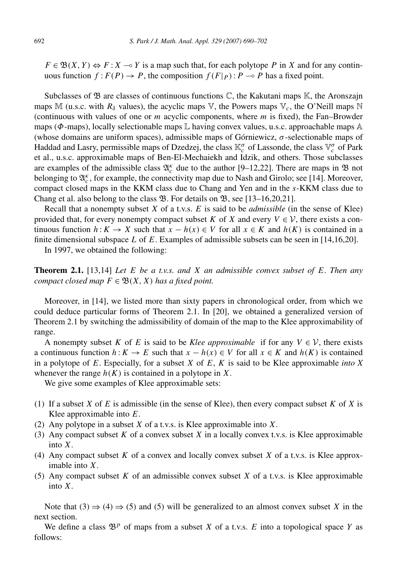$F \in \mathfrak{B}(X, Y) \Leftrightarrow F : X \to Y$  is a map such that, for each polytope *P* in *X* and for any continuous function  $f: F(P) \to P$ , the composition  $f(F|_P): P \to P$  has a fixed point.

Subclasses of  $\mathfrak{B}$  are classes of continuous functions  $\mathbb{C}$ , the Kakutani maps  $\mathbb{K}$ , the Aronszajn maps M (u.s.c. with  $R_\delta$  values), the acyclic maps  $\nabla$ , the Powers maps  $\nabla_c$ , the O'Neill maps N (continuous with values of one or *m* acyclic components, where *m* is fixed), the Fan–Browder maps ( $\Phi$ -maps), locally selectionable maps  $\mathbb L$  having convex values, u.s.c. approachable maps  $\mathbb A$ (whose domains are uniform spaces), admissible maps of Górniewicz, *σ* -selectionable maps of Haddad and Lasry, permissible maps of Dzedzej, the class K*<sup>σ</sup> <sup>c</sup>* of Lassonde, the class V*<sup>σ</sup> <sup>c</sup>* of Park et al., u.s.c. approximable maps of Ben-El-Mechaiekh and Idzik, and others. Those subclasses are examples of the admissible class  $\mathfrak{A}_{c}^{\kappa}$  due to the author [9–12,22]. There are maps in  $\mathfrak{B}$  not belonging to  $\mathfrak{A}_{c}^{\kappa}$ , for example, the connectivity map due to Nash and Girolo; see [14]. Moreover, compact closed maps in the KKM class due to Chang and Yen and in the *s*-KKM class due to Chang et al. also belong to the class  $\mathfrak{B}$ . For details on  $\mathfrak{B}$ , see [13–16,20,21].

Recall that a nonempty subset *X* of a t.v.s. *E* is said to be *admissible* (in the sense of Klee) provided that, for every nonempty compact subset *K* of *X* and every  $V \in V$ , there exists a continuous function  $h: K \to X$  such that  $x - h(x) \in V$  for all  $x \in K$  and  $h(K)$  is contained in a finite dimensional subspace *L* of *E*. Examples of admissible subsets can be seen in [14,16,20].

In 1997, we obtained the following:

**Theorem 2.1.** [13,14] *Let E be a t.v.s. and X an admissible convex subset of E. Then any compact closed map*  $F \in \mathfrak{B}(X, X)$  *has a fixed point.* 

Moreover, in [14], we listed more than sixty papers in chronological order, from which we could deduce particular forms of Theorem 2.1. In [20], we obtained a generalized version of Theorem 2.1 by switching the admissibility of domain of the map to the Klee approximability of range.

A nonempty subset *K* of *E* is said to be *Klee approximable* if for any  $V \in V$ , there exists a continuous function  $h: K \to E$  such that  $x - h(x) \in V$  for all  $x \in K$  and  $h(K)$  is contained in a polytope of *E*. Especially, for a subset *X* of *E*, *K* is said to be Klee approximable *into X* whenever the range  $h(K)$  is contained in a polytope in X.

We give some examples of Klee approximable sets:

- (1) If a subset *X* of *E* is admissible (in the sense of Klee), then every compact subset *K* of *X* is Klee approximable into *E*.
- (2) Any polytope in a subset *X* of a t.v.s. is Klee approximable into *X*.
- (3) Any compact subset *K* of a convex subset *X* in a locally convex t.v.s. is Klee approximable into *X*.
- (4) Any compact subset *K* of a convex and locally convex subset *X* of a t.v.s. is Klee approximable into *X*.
- (5) Any compact subset *K* of an admissible convex subset *X* of a t.v.s. is Klee approximable into *X*.

Note that  $(3) \Rightarrow (4) \Rightarrow (5)$  and  $(5)$  will be generalized to an almost convex subset X in the next section.

We define a class  $\mathfrak{B}^p$  of maps from a subset *X* of a t.v.s. *E* into a topological space *Y* as follows: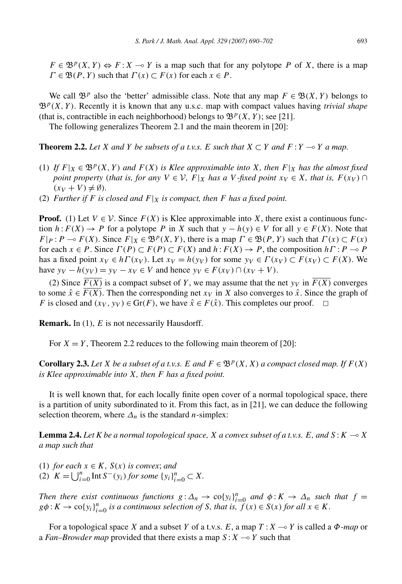$F \in \mathfrak{B}^p(X, Y) \Leftrightarrow F : X \to Y$  is a map such that for any polytope *P* of *X*, there is a map  $\Gamma \in \mathfrak{B}(P, Y)$  such that  $\Gamma(x) \subset F(x)$  for each  $x \in P$ .

We call  $\mathfrak{B}^p$  also the 'better' admissible class. Note that any map  $F \in \mathfrak{B}(X, Y)$  belongs to  $\mathfrak{B}^p(X, Y)$ . Recently it is known that any u.s.c. map with compact values having *trivial shape* (that is, contractible in each neighborhood) belongs to  $\mathfrak{B}^p(X, Y)$ ; see [21].

The following generalizes Theorem 2.1 and the main theorem in [20]:

**Theorem 2.2.** Let *X* and *Y* be subsets of a t.v.s. *E* such that  $X \subset Y$  and  $F: Y \to Y$  a map.

- (1) If  $F|_X \in \mathfrak{B}^p(X, Y)$  and  $F(X)$  is Klee approximable into X, then  $F|_X$  has the almost fixed *point property (that is, for any*  $V \in V$ *, F*|*X has a V -fixed point*  $x_V \in X$ *, that is, F(x<sub>V</sub>)* ∩  $(x_V + V) \neq \emptyset$ ).
- (2) *Further if F is closed and*  $F|_X$  *is compact, then F has a fixed point.*

**Proof.** (1) Let  $V \in \mathcal{V}$ . Since  $F(X)$  is Klee approximable into X, there exist a continuous function *h*:*F(X)* → *P* for a polytope *P* in *X* such that  $y - h(y) \in V$  for all  $y \in F(X)$ . Note that  $F|P: P \to F(X)$ . Since  $F|X \in \mathfrak{B}^p(X, Y)$ , there is a map  $\Gamma \in \mathfrak{B}(P, Y)$  such that  $\Gamma(x) \subset F(x)$ for each  $x \in P$ . Since  $\Gamma(P) \subset F(P) \subset F(X)$  and  $h: F(X) \to P$ , the composition  $h \Gamma: P \to P$ has a fixed point  $x_V \in h\Gamma(x_V)$ . Let  $x_V = h(y_V)$  for some  $y_V \in \Gamma(x_V) \subset F(x_V) \subset F(X)$ . We have  $y_V - h(y_V) = y_V - x_V \in V$  and hence  $y_V \in F(x_V) \cap (x_V + V)$ .

(2) Since  $F(X)$  is a compact subset of Y, we may assume that the net  $y<sub>V</sub>$  in  $F(X)$  converges to some  $\hat{x} \in F(X)$ . Then the corresponding net  $x<sub>V</sub>$  in *X* also converges to  $\hat{x}$ . Since the graph of *F* is closed and  $(x_V, y_V) \in \text{Gr}(F)$ , we have  $\hat{x} \in F(\hat{x})$ . This completes our proof.  $\Box$ 

**Remark.** In (1), *E* is not necessarily Hausdorff.

For  $X = Y$ , Theorem 2.2 reduces to the following main theorem of [20]:

**Corollary 2.3.** *Let X be a subset of a t.v.s. E and*  $F \in \mathcal{B}^p(X, X)$  *a compact closed map.* If  $F(X)$ *is Klee approximable into X, then F has a fixed point.*

It is well known that, for each locally finite open cover of a normal topological space, there is a partition of unity subordinated to it. From this fact, as in [21], we can deduce the following selection theorem, where  $\Delta_n$  is the standard *n*-simplex:

**Lemma 2.4.** Let K be a normal topological space, X a convex subset of a t.v.s. E, and  $S: K \multimap X$ *a map such that*

(1) *for each*  $x \in K$ *,*  $S(x)$  *is convex; and* (2)  $K = \bigcup_{i=0}^{n} \text{Int } S^{-}(y_i) \text{ for some } \{y_i\}_{i=0}^{n} \subset X.$ 

*Then there exist continuous functions*  $g: \Delta_n \to \text{co}\{y_i\}_{i=0}^n$  *and*  $\phi: K \to \Delta_n$  *such that*  $f =$  $g\phi: K \to \text{co}\{y_i\}_{i=0}^n$  *is a continuous selection of S, that is,*  $f(x) \in S(x)$  *for all*  $x \in K$ *.* 

For a topological space *X* and a subset *Y* of a t.v.s. *E*, a map *T* :*X* - *Y* is called a *Φ*-*map* or a *Fan–Browder map* provided that there exists a map  $S: X \rightarrow Y$  such that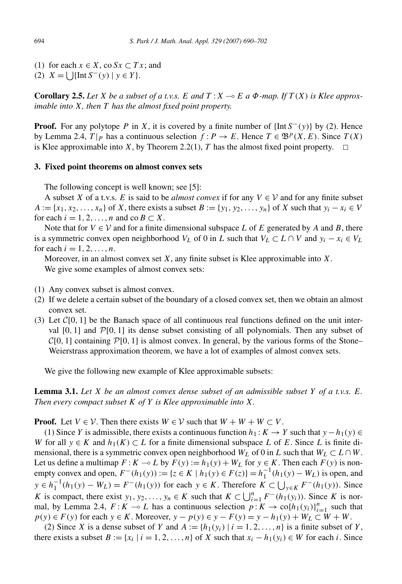- (1) for each  $x \in X$ , co  $Sx \subset Tx$ ; and
- (2)  $X = \bigcup \{ \text{Int } S^{-}(y) \mid y \in Y \}.$

**Corollary 2.5.** Let *X* be a subset of a t.v.s. *E* and  $T: X \rightarrow E$  a  $\Phi$ -map. If  $T(X)$  is Klee approx*imable into X, then T has the almost fixed point property.*

**Proof.** For any polytope *P* in *X*, it is covered by a finite number of {Int  $S^{-}(y)$ } by (2). Hence by Lemma 2.4,  $T|_P$  has a continuous selection  $f: P \to E$ . Hence  $T \in \mathfrak{B}^p(X, E)$ . Since  $T(X)$ is Klee approximable into *X*, by Theorem 2.2(1), *T* has the almost fixed point property.  $\Box$ 

## **3. Fixed point theorems on almost convex sets**

The following concept is well known; see [5]:

A subset *X* of a t.v.s. *E* is said to be *almost convex* if for any  $V \in V$  and for any finite subset  $A := \{x_1, x_2, \ldots, x_n\}$  of *X*, there exists a subset  $B := \{y_1, y_2, \ldots, y_n\}$  of *X* such that  $y_i - x_i \in V$ for each  $i = 1, 2, \ldots, n$  and co  $B \subset X$ .

Note that for  $V \in V$  and for a finite dimensional subspace L of E generated by A and B, there is a symmetric convex open neighborhood  $V_L$  of 0 in *L* such that  $V_L \subset L \cap V$  and  $y_i - x_i \in V_L$ for each  $i = 1, 2, ..., n$ .

Moreover, in an almost convex set *X*, any finite subset is Klee approximable into *X*. We give some examples of almost convex sets:

- (1) Any convex subset is almost convex.
- (2) If we delete a certain subset of the boundary of a closed convex set, then we obtain an almost convex set.
- (3) Let C[0*,* 1] be the Banach space of all continuous real functions defined on the unit interval  $[0, 1]$  and  $\mathcal{P}[0, 1]$  its dense subset consisting of all polynomials. Then any subset of  $\mathcal{C}[0, 1]$  containing  $\mathcal{P}[0, 1]$  is almost convex. In general, by the various forms of the Stone– Weierstrass approximation theorem, we have a lot of examples of almost convex sets.

We give the following new example of Klee approximable subsets:

**Lemma 3.1.** *Let X be an almost convex dense subset of an admissible subset Y of a t.v.s. E. Then every compact subset K of Y is Klee approximable into X.*

**Proof.** Let  $V \in V$ . Then there exists  $W \in V$  such that  $W + W + W \subset V$ .

(1) Since *Y* is admissible, there exists a continuous function  $h_1: K \to Y$  such that  $y - h_1(y) \in$ *W* for all  $y \in K$  and  $h_1(K) \subset L$  for a finite dimensional subspace *L* of *E*. Since *L* is finite dimensional, there is a symmetric convex open neighborhood  $W_L$  of 0 in *L* such that  $W_L \subset L \cap W$ . Let us define a multimap  $F: K \to L$  by  $F(y) := h_1(y) + W_L$  for  $y \in K$ . Then each  $F(y)$  is nonempty convex and open,  $F^-(h_1(y)) := \{z \in K \mid h_1(y) \in F(z)\} = h_1^{-1}(h_1(y) - W_L)$  is open, and *y* ∈  $h_1^{-1}(h_1(y) - W_L) = F^{-}(h_1(y))$  for each *y* ∈ *K*. Therefore  $K \subset \bigcup_{y \in K} F^{-}(h_1(y))$ . Since *K* is compact, there exist *y*<sub>1</sub>*, y*<sub>2</sub>*,..., y<sub>n</sub>* ∈ *K* such that  $K \subset \bigcup_{i=1}^{n} F^{-}(h_1(y_i))$ . Since *K* is normal, by Lemma 2.4,  $F: K \to L$  has a continuous selection  $p: K \to \text{co}\{h_1(y_i)\}_{i=1}^n$  such that  $p(y) \in F(y)$  for each  $y \in K$ . Moreover,  $y - p(y) \in y - F(y) = y - h_1(y) + W_L \subset W + W$ .

(2) Since *X* is a dense subset of *Y* and  $A := \{h_1(y_i) | i = 1, 2, ..., n\}$  is a finite subset of *Y*, there exists a subset  $B := \{x_i \mid i = 1, 2, ..., n\}$  of *X* such that  $x_i - h_1(y_i) \in W$  for each *i*. Since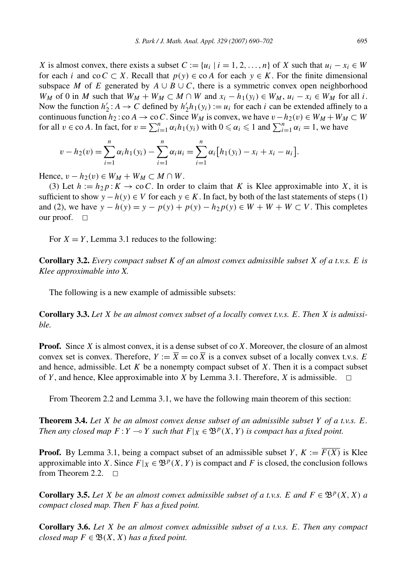*X* is almost convex, there exists a subset  $C := \{u_i \mid i = 1, 2, ..., n\}$  of *X* such that  $u_i - x_i \in W$ for each *i* and co $C \subset X$ . Recall that  $p(y) \in \text{co } A$  for each  $y \in K$ . For the finite dimensional subspace *M* of *E* generated by  $A \cup B \cup C$ , there is a symmetric convex open neighborhood *W<sub>M</sub>* of 0 in *M* such that  $W_M + W_M \subset M \cap W$  and  $x_i - h_1(y_i) \in W_M$ ,  $u_i - x_i \in W_M$  for all *i*. Now the function  $h'_2$ :  $A \to C$  defined by  $h'_2 h_1(y_i) := u_i$  for each *i* can be extended affinely to a continuous function  $h_2$ : co  $A \to \infty$  C. Since  $W_M$  is convex, we have  $v - h_2(v) \in W_M + W_M \subset W$ for all  $v \in \text{co } A$ . In fact, for  $v = \sum_{i=1}^{n} \alpha_i h_1(y_i)$  with  $0 \le \alpha_i \le 1$  and  $\sum_{i=1}^{n} \alpha_i = 1$ , we have

$$
v - h_2(v) = \sum_{i=1}^n \alpha_i h_1(y_i) - \sum_{i=1}^n \alpha_i u_i = \sum_{i=1}^n \alpha_i [h_1(y_i) - x_i + x_i - u_i].
$$

Hence,  $v - h_2(v) \in W_M + W_M \subset M \cap W$ .

(3) Let  $h := h_2 p : K \to \infty C$ . In order to claim that *K* is Klee approximable into *X*, it is sufficient to show  $y - h(y) \in V$  for each  $y \in K$ . In fact, by both of the last statements of steps (1) and (2), we have  $y - h(y) = y - p(y) + p(y) - h_2 p(y) \in W + W + W \subset V$ . This completes our proof.  $\square$ 

For  $X = Y$ , Lemma 3.1 reduces to the following:

**Corollary 3.2.** *Every compact subset K of an almost convex admissible subset X of a t.v.s. E is Klee approximable into X.*

The following is a new example of admissible subsets:

**Corollary 3.3.** *Let X be an almost convex subset of a locally convex t.v.s. E. Then X is admissible.*

**Proof.** Since *X* is almost convex, it is a dense subset of co*X*. Moreover, the closure of an almost convex set is convex. Therefore,  $Y := \overline{X} = \cos \overline{X}$  is a convex subset of a locally convex t.v.s. *E* and hence, admissible. Let *K* be a nonempty compact subset of *X*. Then it is a compact subset of *Y*, and hence, Klee approximable into *X* by Lemma 3.1. Therefore, *X* is admissible.  $\Box$ 

From Theorem 2.2 and Lemma 3.1, we have the following main theorem of this section:

**Theorem 3.4.** *Let X be an almost convex dense subset of an admissible subset Y of a t.v.s. E. Then any closed map*  $F: Y \to Y$  *such that*  $F|_X \in \mathfrak{B}^p(X, Y)$  *is compact has a fixed point.* 

**Proof.** By Lemma 3.1, being a compact subset of an admissible subset *Y*,  $K := \overline{F(X)}$  is Klee approximable into *X*. Since  $F|_X \in \mathfrak{B}^p(X, Y)$  is compact and *F* is closed, the conclusion follows from Theorem 2.2.  $\Box$ 

**Corollary 3.5.** *Let X be an almost convex admissible subset of a t.v.s. E and*  $F \in \mathcal{B}^p(X, X)$  *a compact closed map. Then F has a fixed point.*

**Corollary 3.6.** *Let X be an almost convex admissible subset of a t.v.s. E. Then any compact closed map*  $F \in \mathfrak{B}(X, X)$  *has a fixed point.*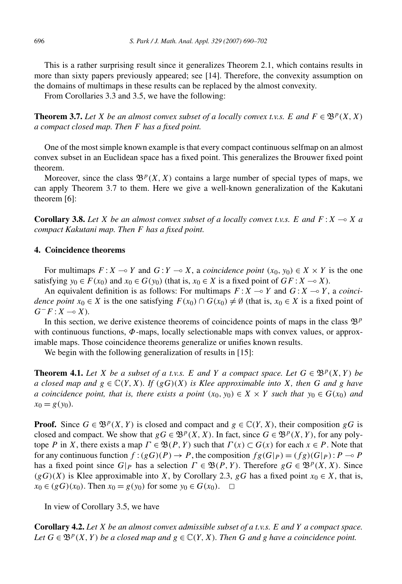This is a rather surprising result since it generalizes Theorem 2.1, which contains results in more than sixty papers previously appeared; see [14]. Therefore, the convexity assumption on the domains of multimaps in these results can be replaced by the almost convexity.

From Corollaries 3.3 and 3.5, we have the following:

**Theorem 3.7.** *Let X be an almost convex subset of a locally convex t.v.s. E* and  $F \in \mathfrak{B}^p(X, X)$ *a compact closed map. Then F has a fixed point.*

One of the most simple known example is that every compact continuous selfmap on an almost convex subset in an Euclidean space has a fixed point. This generalizes the Brouwer fixed point theorem.

Moreover, since the class  $\mathfrak{B}^p(X, X)$  contains a large number of special types of maps, we can apply Theorem 3.7 to them. Here we give a well-known generalization of the Kakutani theorem [6]:

**Corollary 3.8.** Let *X* be an almost convex subset of a locally convex t.v.s. E and  $F: X \to X$  a *compact Kakutani map. Then F has a fixed point.*

# **4. Coincidence theorems**

For multimaps  $F: X \to Y$  and  $G: Y \to X$ , a *coincidence point*  $(x_0, y_0) \in X \times Y$  is the one satisfying  $y_0 \in F(x_0)$  and  $x_0 \in G(y_0)$  (that is,  $x_0 \in X$  is a fixed point of  $GF : X \to X$ ).

An equivalent definition is as follows: For multimaps  $F: X \to Y$  and  $G: X \to Y$ , a *coincidence point*  $x_0 \in X$  is the one satisfying  $F(x_0) \cap G(x_0) \neq \emptyset$  (that is,  $x_0 \in X$  is a fixed point of  $G^-F$  :  $X \multimap X$ ).

In this section, we derive existence theorems of coincidence points of maps in the class  $\mathfrak{B}^p$ with continuous functions, *Φ*-maps, locally selectionable maps with convex values, or approximable maps. Those coincidence theorems generalize or unifies known results.

We begin with the following generalization of results in [15]:

**Theorem 4.1.** Let *X* be a subset of a t.v.s. *E* and *Y* a compact space. Let  $G \in \mathcal{B}^p(X, Y)$  be *a* closed map and  $g \in \mathbb{C}(Y, X)$ *. If*  $(gG)(X)$  *is Klee approximable into X, then G and g have a coincidence point, that is, there exists a point*  $(x_0, y_0) \in X \times Y$  *such that*  $y_0 \in G(x_0)$  *and*  $x_0 = g(y_0)$ .

**Proof.** Since  $G \in \mathfrak{B}^p(X, Y)$  is closed and compact and  $g \in \mathbb{C}(Y, X)$ , their composition *gG* is closed and compact. We show that  $gG \in \mathfrak{B}^p(X, X)$ . In fact, since  $G \in \mathfrak{B}^p(X, Y)$ , for any polytope *P* in *X*, there exists a map  $\Gamma \in \mathfrak{B}(P, Y)$  such that  $\Gamma(x) \subset G(x)$  for each  $x \in P$ . Note that for any continuous function  $f:(gG)(P) \to P$ , the composition  $fg(G|_P) = (fg)(G|_P) : P \to P$ has a fixed point since  $G|_P$  has a selection  $\Gamma \in \mathfrak{B}(P, Y)$ . Therefore  $gG \in \mathfrak{B}^p(X, X)$ . Since  $(gG)(X)$  is Klee approximable into *X*, by Corollary 2.3, *gG* has a fixed point  $x_0 \in X$ , that is, *x*<sup>0</sup> ∈ (*gG*)(*x*<sup>0</sup>). Then *x*<sup>0</sup> = *g*(*y*<sup>0</sup>)</sub> for some *y*<sup>0</sup> ∈ *G*(*x*<sup>0</sup>). □

In view of Corollary 3.5, we have

**Corollary 4.2.** *Let X be an almost convex admissible subset of a t.v.s. E and Y a compact space. Let*  $G \in \mathfrak{B}^p(X, Y)$  *be a closed map and*  $g \in \mathbb{C}(Y, X)$ *. Then G and g have a coincidence point.*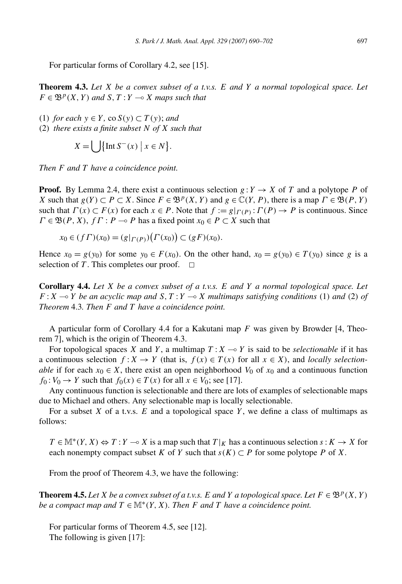For particular forms of Corollary 4.2, see [15].

**Theorem 4.3.** *Let X be a convex subset of a t.v.s. E and Y a normal topological space. Let*  $F \in \mathfrak{B}^p(X, Y)$  *and*  $S, T: Y \longrightarrow X$  *maps such that* 

(1) *for each*  $y \in Y$ , co  $S(y) \subset T(y)$ ; *and* 

(2) *there exists a finite subset N of X such that*

$$
X = \bigcup \{ \text{Int } S^-(x) \mid x \in N \}.
$$

*Then F and T have a coincidence point.*

**Proof.** By Lemma 2.4, there exist a continuous selection  $g: Y \to X$  of *T* and a polytope *P* of *X* such that  $g(Y) \subset P \subset X$ . Since  $F \in \mathcal{B}^p(X, Y)$  and  $g \in \mathbb{C}(Y, P)$ , there is a map  $\Gamma \in \mathcal{B}(P, Y)$ such that  $\Gamma(x) \subset F(x)$  for each  $x \in P$ . Note that  $f := g|_{\Gamma(P)} : \Gamma(P) \to P$  is continuous. Since  $\Gamma \in \mathfrak{B}(P, X), f\Gamma : P \to P$  has a fixed point  $x_0 \in P \subset X$  such that

$$
x_0 \in (f \Gamma)(x_0) = (g|_{\Gamma(P)}) (\Gamma(x_0)) \subset (g \Gamma)(x_0).
$$

Hence  $x_0 = g(y_0)$  for some  $y_0 \in F(x_0)$ . On the other hand,  $x_0 = g(y_0) \in T(y_0)$  since *g* is a selection of *T*. This completes our proof.  $\Box$ 

**Corollary 4.4.** *Let X be a convex subset of a t.v.s. E and Y a normal topological space. Let*  $F: X \rightarrow Y$  be an acyclic map and  $S, T: Y \rightarrow X$  multimaps satisfying conditions (1) and (2) of *Theorem* 4.3*. Then F and T have a coincidence point.*

A particular form of Corollary 4.4 for a Kakutani map *F* was given by Browder [4, Theorem 7], which is the origin of Theorem 4.3.

For topological spaces *X* and *Y*, a multimap  $T: X \rightarrow Y$  is said to be *selectionable* if it has a continuous selection  $f: X \to Y$  (that is,  $f(x) \in T(x)$  for all  $x \in X$ ), and *locally selectionable* if for each  $x_0 \in X$ , there exist an open neighborhood  $V_0$  of  $x_0$  and a continuous function  $f_0: V_0 \to Y$  such that  $f_0(x) \in T(x)$  for all  $x \in V_0$ ; see [17].

Any continuous function is selectionable and there are lots of examples of selectionable maps due to Michael and others. Any selectionable map is locally selectionable.

For a subset *X* of a t.v.s. *E* and a topological space *Y* , we define a class of multimaps as follows:

 $T \in \mathbb{M}^*(Y, X) \Leftrightarrow T : Y \to X$  is a map such that  $T|_K$  has a continuous selection  $s : K \to X$  for each nonempty compact subset *K* of *Y* such that  $s(K) \subset P$  for some polytope *P* of *X*.

From the proof of Theorem 4.3, we have the following:

**Theorem 4.5.** Let *X* be a convex subset of a t.v.s. *E* and *Y* a topological space. Let  $F \in \mathcal{B}^p(X, Y)$ *be a compact map and*  $T \in M^*(Y, X)$ *. Then F and T have a coincidence point.* 

For particular forms of Theorem 4.5, see [12]. The following is given [17]: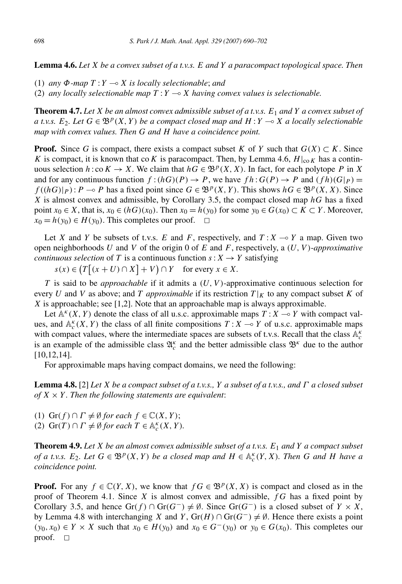**Lemma 4.6.** *Let X be a convex subset of a t.v.s. E and Y a paracompact topological space. Then*

- (1) *any Φ-map T* : *Y X is locally selectionable*; *and*
- (2) any locally selectionable map  $T: Y \longrightarrow X$  having convex values is selectionable.

**Theorem 4.7.** *Let X be an almost convex admissible subset of a t.v.s. E*<sup>1</sup> *and Y a convex subset of a t.v.s.*  $E_2$ *. Let*  $G \in \mathfrak{B}^p(X, Y)$  *be a compact closed map and*  $H: Y \to X$  *a locally selectionable map with convex values. Then G and H have a coincidence point.*

**Proof.** Since *G* is compact, there exists a compact subset *K* of *Y* such that  $G(X) \subset K$ . Since *K* is compact, it is known that co*K* is paracompact. Then, by Lemma 4.6,  $H|_{\text{co }K}$  has a continuous selection  $h: \text{co } K \to X$ . We claim that  $hG \in \mathfrak{B}^p(X, X)$ . In fact, for each polytope P in X and for any continuous function  $f:(hG)(P) \to P$ , we have  $fh: G(P) \to P$  and  $(fh)(G|P) =$ *f* ((*hG*)|*P*): *P* → *P* has a fixed point since *G* ∈  $\mathfrak{B}^p(X, Y)$ . This shows *hG* ∈  $\mathfrak{B}^p(X, X)$ . Since *X* is almost convex and admissible, by Corollary 3.5, the compact closed map *hG* has a fixed point  $x_0 \in X$ , that is,  $x_0 \in (hG)(x_0)$ . Then  $x_0 = h(y_0)$  for some  $y_0 \in G(x_0) \subset K \subset Y$ . Moreover,  $x_0 = h(y_0) \in H(y_0)$ . This completes our proof.  $\Box$ 

Let *X* and *Y* be subsets of t.v.s. *E* and *F*, respectively, and  $T: X \rightarrow Y$  a map. Given two open neighborhoods *U* and *V* of the origin 0 of *E* and *F*, respectively, a *(U, V )*-*approximative continuous selection* of *T* is a continuous function  $s: X \rightarrow Y$  satisfying

 $s(x) \in (T | (x + U) \cap X | + V) \cap Y$  for every  $x \in X$ .

*T* is said to be *approachable* if it admits a *(U, V )*-approximative continuous selection for every *U* and *V* as above; and *T approximable* if its restriction  $T|_K$  to any compact subset *K* of *X* is approachable; see [1,2]. Note that an approachable map is always approximable.

Let  $\mathbb{A}^k(X, Y)$  denote the class of all u.s.c. approximable maps  $T: X \to Y$  with compact values, and  $\mathbb{A}_{c}^{k}(X, Y)$  the class of all finite compositions  $T: X \to Y$  of u.s.c. approximable maps with compact values, where the intermediate spaces are subsets of t.v.s. Recall that the class  $A_c^k$ is an example of the admissible class  $\mathfrak{A}_{c}^{\kappa}$  and the better admissible class  $\mathfrak{B}^{\kappa}$  due to the author [10,12,14].

For approximable maps having compact domains, we need the following:

**Lemma 4.8.** [2] *Let X be a compact subset of a t.v.s., Y a subset of a t.v.s., and Γ a closed subset of*  $X \times Y$ . Then the following statements are equivalent:

(1)  $\text{Gr}(f) \cap \Gamma \neq \emptyset \text{ for each } f \in \mathbb{C}(X, Y);$ (2)  $\text{Gr}(T) \cap \Gamma \neq \emptyset \text{ for each } T \in \mathbb{A}_c^K(X, Y)$ *.* 

**Theorem 4.9.** *Let X be an almost convex admissible subset of a t.v.s. E*<sup>1</sup> *and Y a compact subset of a t.v.s.*  $E_2$ *. Let*  $G \in \mathfrak{B}^p(X, Y)$  *be a closed map and*  $H \in \mathbb{A}_c^k(Y, X)$ *. Then G and H have a coincidence point.*

**Proof.** For any  $f \in \mathbb{C}(Y, X)$ , we know that  $f G \in \mathcal{B}^p(X, X)$  is compact and closed as in the proof of Theorem 4.1. Since *X* is almost convex and admissible, *f G* has a fixed point by Corollary 3.5, and hence  $Gr(f) \cap Gr(G^-) \neq \emptyset$ . Since  $Gr(G^-)$  is a closed subset of  $Y \times X$ , by Lemma 4.8 with interchanging *X* and *Y*, Gr(*H*)  $\cap$  Gr( $G^-$ )  $\neq$  Ø. Hence there exists a point *(y*<sub>0</sub>, *x*<sub>0</sub>) ∈ *Y* × *X* such that  $x_0$  ∈ *H*(*y*<sub>0</sub>) and  $x_0$  ∈ *G*<sup>−</sup>(*y*<sub>0</sub>) or  $y_0$  ∈ *G*(*x*<sub>0</sub>). This completes our proof.  $\square$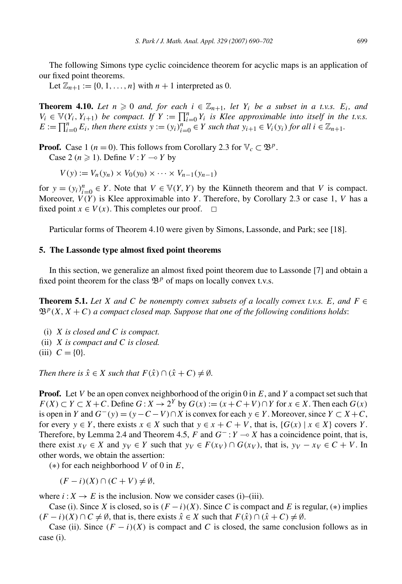The following Simons type cyclic coincidence theorem for acyclic maps is an application of our fixed point theorems.

Let  $\mathbb{Z}_{n+1} := \{0, 1, \ldots, n\}$  with  $n+1$  interpreted as 0.

**Theorem 4.10.** *Let*  $n \ge 0$  *and, for each*  $i \in \mathbb{Z}_{n+1}$ *, let*  $Y_i$  *be a subset in a t.v.s.*  $E_i$ *, and*  $V_i \in V(Y_i, Y_{i+1})$  *be compact. If*  $Y := \prod_{i=0}^n Y_i$  *is Klee approximable into itself in the t.v.s.*  $E := \prod_{i=0}^{n} E_i$ , then there exists  $y := (y_i)_{i=0}^{n} \in Y$  such that  $y_{i+1} \in V_i(y_i)$  for all  $i \in \mathbb{Z}_{n+1}$ .

**Proof.** Case 1 (*n* = 0). This follows from Corollary 2.3 for  $\mathbb{V}_c \subset \mathfrak{B}^p$ . Case 2 ( $n \ge 1$ ). Define  $V: Y \rightarrow Y$  by

 $V(y) := V_n(y_n) \times V_0(y_0) \times \cdots \times V_{n-1}(y_{n-1})$ 

for  $y = (y_i)_{i=0}^n \in Y$ . Note that  $V \in V(Y, Y)$  by the Künneth theorem and that *V* is compact. Moreover, *V (Y )* is Klee approximable into *Y* . Therefore, by Corollary 2.3 or case 1, *V* has a fixed point  $x \in V(x)$ . This completes our proof.  $\Box$ 

Particular forms of Theorem 4.10 were given by Simons, Lassonde, and Park; see [18].

## **5. The Lassonde type almost fixed point theorems**

In this section, we generalize an almost fixed point theorem due to Lassonde [7] and obtain a fixed point theorem for the class  $\mathfrak{B}^p$  of maps on locally convex t.v.s.

**Theorem 5.1.** Let *X* and *C* be nonempty convex subsets of a locally convex t.v.s. *E*, and  $F \in$  $\mathfrak{B}^p(X, X + C)$  *a compact closed map. Suppose that one of the following conditions holds:* 

- (i) *X is closed and C is compact.*
- (ii) *X is compact and C is closed.*
- (iii)  $C = \{0\}$ .

*Then there is*  $\hat{x} \in X$  *such that*  $F(\hat{x}) \cap (\hat{x} + C) \neq \emptyset$ .

**Proof.** Let *V* be an open convex neighborhood of the origin 0 in *E*, and *Y* a compact set such that *F*(*X*) ⊂ *Y* ⊂ *X* + *C*. Define *G* : *X* → 2<sup>*Y*</sup> by *G*(*x*) :=  $(x + C + V) ∩ Y$  for  $x \in X$ . Then each  $G(x)$ is open in *Y* and  $G^{-}(y) = (y - C - V) \cap X$  is convex for each  $y \in Y$ . Moreover, since  $Y \subset X + C$ , for every  $y \in Y$ , there exists  $x \in X$  such that  $y \in x + C + V$ , that is,  $\{G(x) \mid x \in X\}$  covers *Y*. Therefore, by Lemma 2.4 and Theorem 4.5,  $F$  and  $G^-$ :  $Y \to X$  has a coincidence point, that is, there exist  $x_V \in X$  and  $y_V \in Y$  such that  $y_V \in F(x_V) \cap G(x_V)$ , that is,  $y_V - x_V \in C + V$ . In other words, we obtain the assertion:

(∗) for each neighborhood *V* of 0 in *E*,

 $(F - i)(X) ∩ (C + V) ≠ ∅$ 

where  $i: X \to E$  is the inclusion. Now we consider cases (i)–(iii).

Case (i). Since *X* is closed, so is  $(F - i)(X)$ . Since *C* is compact and *E* is regular, (\*) implies *(F* − *i*)(*X*) ∩ *C*  $\neq$  Ø, that is, there exists  $\hat{x} \in X$  such that  $F(\hat{x}) \cap (\hat{x} + C) \neq \emptyset$ .

Case (ii). Since  $(F - i)(X)$  is compact and C is closed, the same conclusion follows as in case (i).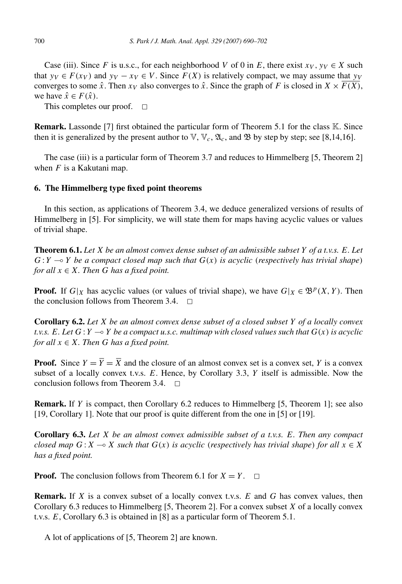Case (iii). Since *F* is u.s.c., for each neighborhood *V* of 0 in *E*, there exist  $x_V$ ,  $y_V \in X$  such that  $y_V \in F(x_V)$  and  $y_V - x_V \in V$ . Since  $F(X)$  is relatively compact, we may assume that  $y_V$ converges to some  $\hat{x}$ . Then  $x_V$  also converges to  $\hat{x}$ . Since the graph of *F* is closed in  $X \times \overline{F(X)}$ , we have  $\hat{x} \in F(\hat{x})$ .

This completes our proof.  $\Box$ 

**Remark.** Lassonde [7] first obtained the particular form of Theorem 5.1 for the class K. Since then it is generalized by the present author to  $\mathbb{V}, \mathbb{V}_c, \mathfrak{A}_c$ , and  $\mathfrak{B}$  by step by step; see [8,14,16].

The case (iii) is a particular form of Theorem 3.7 and reduces to Himmelberg [5, Theorem 2] when *F* is a Kakutani map.

# **6. The Himmelberg type fixed point theorems**

In this section, as applications of Theorem 3.4, we deduce generalized versions of results of Himmelberg in [5]. For simplicity, we will state them for maps having acyclic values or values of trivial shape.

**Theorem 6.1.** *Let X be an almost convex dense subset of an admissible subset Y of a t.v.s. E. Let*  $G: Y \rightarrow Y$  be a compact closed map such that  $G(x)$  is acyclic (respectively has trivial shape) *for all*  $x \in X$ *. Then G has a fixed point.* 

**Proof.** If  $G|_X$  has acyclic values (or values of trivial shape), we have  $G|_X \in \mathcal{B}^p(X, Y)$ . Then the conclusion follows from Theorem 3.4.  $\Box$ 

**Corollary 6.2.** *Let X be an almost convex dense subset of a closed subset Y of a locally convex t.v.s. E. Let G* : *Y* - *Y be a compact u.s.c. multimap with closed values such that G(x) is acyclic for all*  $x \in X$ *. Then G has a fixed point.* 

**Proof.** Since  $Y = \overline{Y} = \overline{X}$  and the closure of an almost convex set is a convex set, *Y* is a convex subset of a locally convex t.v.s. *E*. Hence, by Corollary 3.3, *Y* itself is admissible. Now the conclusion follows from Theorem  $3.4. \square$ 

**Remark.** If *Y* is compact, then Corollary 6.2 reduces to Himmelberg [5, Theorem 1]; see also [19, Corollary 1]. Note that our proof is quite different from the one in [5] or [19].

**Corollary 6.3.** *Let X be an almost convex admissible subset of a t.v.s. E. Then any compact closed map*  $G: X \to X$  *such that*  $G(x)$  *is acyclic (respectively has trivial shape) for all*  $x \in X$ *has a fixed point.*

**Proof.** The conclusion follows from Theorem 6.1 for  $X = Y$ .  $\Box$ 

**Remark.** If *X* is a convex subset of a locally convex t.v.s. *E* and *G* has convex values, then Corollary 6.3 reduces to Himmelberg [5, Theorem 2]. For a convex subset *X* of a locally convex t.v.s. *E*, Corollary 6.3 is obtained in [8] as a particular form of Theorem 5.1.

A lot of applications of [5, Theorem 2] are known.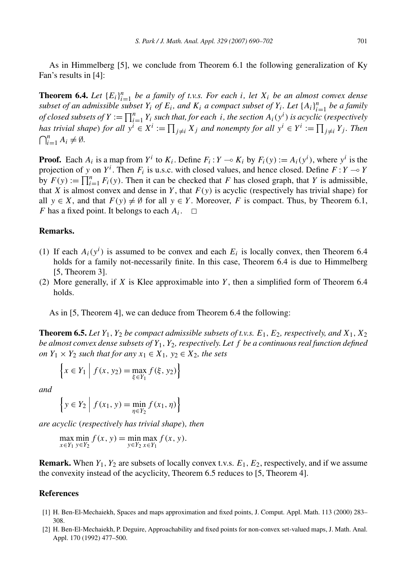As in Himmelberg [5], we conclude from Theorem 6.1 the following generalization of Ky Fan's results in [4]:

**Theorem 6.4.** *Let*  $\{E_i\}_{i=1}^n$  *be a family of t.v.s. For each i, let*  $X_i$  *be an almost convex dense subset of an admissible subset*  $Y_i$  *of*  $E_i$ *, and*  $K_i$  *a compact subset of*  $Y_i$ *. Let*  $\{A_i\}_{i=1}^n$  *be a family of closed subsets of*  $Y := \prod_{i=1}^{n} Y_i$  *such that, for each i*, *the section*  $A_i(y^i)$  *is acyclic (respectively* has trivial shape) for all  $y^i \in X^i := \prod_{j \neq i} X_j$  and nonempty for all  $y^i \in Y^i := \prod_{j \neq i} Y_j$ . Then  $\bigcap_{i=1}^n A_i \neq \emptyset$ .

**Proof.** Each  $A_i$  is a map from  $Y^i$  to  $K_i$ . Define  $F_i: Y \to K_i$  by  $F_i(y) := A_i(y^i)$ , where  $y^i$  is the projection of *y* on  $Y^i$ . Then  $F_i$  is u.s.c. with closed values, and hence closed. Define  $F: Y \to Y$ by  $F(y) := \prod_{i=1}^{n} F_i(y)$ . Then it can be checked that *F* has closed graph, that *Y* is admissible, that *X* is almost convex and dense in *Y*, that  $F(y)$  is acyclic (respectively has trivial shape) for all  $y \in X$ , and that  $F(y) \neq \emptyset$  for all  $y \in Y$ . Moreover, *F* is compact. Thus, by Theorem 6.1, *F* has a fixed point. It belongs to each  $A_i$ .  $\Box$ 

## **Remarks.**

- (1) If each  $A_i(y^i)$  is assumed to be convex and each  $E_i$  is locally convex, then Theorem 6.4 holds for a family not-necessarily finite. In this case, Theorem 6.4 is due to Himmelberg [5, Theorem 3].
- (2) More generally, if *X* is Klee approximable into *Y* , then a simplified form of Theorem 6.4 holds.

As in [5, Theorem 4], we can deduce from Theorem 6.4 the following:

**Theorem 6.5.** *Let*  $Y_1$ ,  $Y_2$  *be compact admissible subsets of t.v.s.*  $E_1$ ,  $E_2$ , *respectively, and*  $X_1$ ,  $X_2$ *be almost convex dense subsets of Y*1*, Y*2*, respectively. Let f be a continuous real function defined on*  $Y_1 \times Y_2$  *such that for any*  $x_1 \in X_1$ *,*  $y_2 \in X_2$ *, the sets* 

$$
\left\{ x \in Y_1 \mid f(x, y_2) = \max_{\xi \in Y_1} f(\xi, y_2) \right\}
$$

*and*

$$
\left\{ y \in Y_2 \; \middle| \; f(x_1, y) = \min_{\eta \in Y_2} f(x_1, \eta) \right\}
$$

*are acyclic (respectively has trivial shape), then*

 $\max_{x \in Y_1} \min_{y \in Y_2} f(x, y) = \min_{y \in Y_2} \max_{x \in Y_1} f(x, y).$ 

**Remark.** When  $Y_1, Y_2$  are subsets of locally convex t.v.s.  $E_1, E_2$ , respectively, and if we assume the convexity instead of the acyclicity, Theorem 6.5 reduces to [5, Theorem 4].

# **References**

- [1] H. Ben-El-Mechaiekh, Spaces and maps approximation and fixed points, J. Comput. Appl. Math. 113 (2000) 283– 308.
- [2] H. Ben-El-Mechaiekh, P. Deguire, Approachability and fixed points for non-convex set-valued maps, J. Math. Anal. Appl. 170 (1992) 477–500.